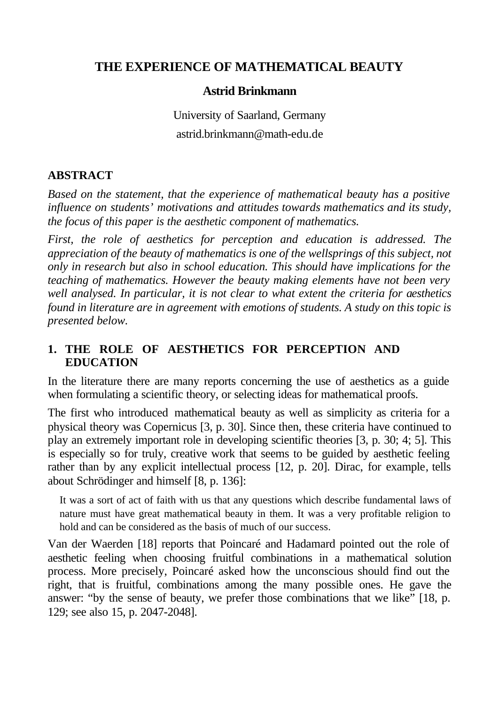# **THE EXPERIENCE OF MATHEMATICAL BEAUTY**

#### **Astrid Brinkmann**

University of Saarland, Germany astrid.brinkmann@math-edu.de

# **ABSTRACT**

*Based on the statement, that the experience of mathematical beauty has a positive influence on students' motivations and attitudes towards mathematics and its study, the focus of this paper is the aesthetic component of mathematics.*

*First, the role of aesthetics for perception and education is addressed. The appreciation of the beauty of mathematics is one of the wellsprings of this subject, not only in research but also in school education. This should have implications for the teaching of mathematics. However the beauty making elements have not been very well analysed. In particular, it is not clear to what extent the criteria for aesthetics found in literature are in agreement with emotions of students. A study on this topic is presented below.*

# **1. THE ROLE OF AESTHETICS FOR PERCEPTION AND EDUCATION**

In the literature there are many reports concerning the use of aesthetics as a guide when formulating a scientific theory, or selecting ideas for mathematical proofs.

The first who introduced mathematical beauty as well as simplicity as criteria for a physical theory was Copernicus [3, p. 30]. Since then, these criteria have continued to play an extremely important role in developing scientific theories [3, p. 30; 4; 5]. This is especially so for truly, creative work that seems to be guided by aesthetic feeling rather than by any explicit intellectual process [12, p. 20]. Dirac, for example, tells about Schrödinger and himself [8, p. 136]:

It was a sort of act of faith with us that any questions which describe fundamental laws of nature must have great mathematical beauty in them. It was a very profitable religion to hold and can be considered as the basis of much of our success.

Van der Waerden [18] reports that Poincaré and Hadamard pointed out the role of aesthetic feeling when choosing fruitful combinations in a mathematical solution process. More precisely, Poincaré asked how the unconscious should find out the right, that is fruitful, combinations among the many possible ones. He gave the answer: "by the sense of beauty, we prefer those combinations that we like" [18, p. 129; see also 15, p. 2047-2048].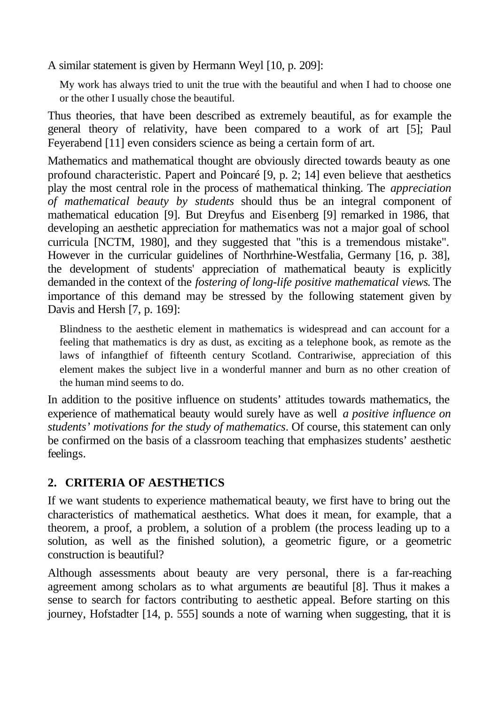A similar statement is given by Hermann Weyl [10, p. 209]:

My work has always tried to unit the true with the beautiful and when I had to choose one or the other I usually chose the beautiful.

Thus theories, that have been described as extremely beautiful, as for example the general theory of relativity, have been compared to a work of art [5]; Paul Feyerabend [11] even considers science as being a certain form of art.

Mathematics and mathematical thought are obviously directed towards beauty as one profound characteristic. Papert and Poincaré [9, p. 2; 14] even believe that aesthetics play the most central role in the process of mathematical thinking. The *appreciation of mathematical beauty by students* should thus be an integral component of mathematical education [9]. But Dreyfus and Eisenberg [9] remarked in 1986, that developing an aesthetic appreciation for mathematics was not a major goal of school curricula [NCTM, 1980], and they suggested that "this is a tremendous mistake". However in the curricular guidelines of Northrhine-Westfalia, Germany [16, p. 38], the development of students' appreciation of mathematical beauty is explicitly demanded in the context of the *fostering of long-life positive mathematical views*. The importance of this demand may be stressed by the following statement given by Davis and Hersh [7, p. 169]:

Blindness to the aesthetic element in mathematics is widespread and can account for a feeling that mathematics is dry as dust, as exciting as a telephone book, as remote as the laws of infangthief of fifteenth century Scotland. Contrariwise, appreciation of this element makes the subject live in a wonderful manner and burn as no other creation of the human mind seems to do.

In addition to the positive influence on students' attitudes towards mathematics, the experience of mathematical beauty would surely have as well *a positive influence on students' motivations for the study of mathematics*. Of course, this statement can only be confirmed on the basis of a classroom teaching that emphasizes students' aesthetic feelings.

# **2. CRITERIA OF AESTHETICS**

If we want students to experience mathematical beauty, we first have to bring out the characteristics of mathematical aesthetics. What does it mean, for example, that a theorem, a proof, a problem, a solution of a problem (the process leading up to a solution, as well as the finished solution), a geometric figure, or a geometric construction is beautiful?

Although assessments about beauty are very personal, there is a far-reaching agreement among scholars as to what arguments are beautiful [8]. Thus it makes a sense to search for factors contributing to aesthetic appeal. Before starting on this journey, Hofstadter [14, p. 555] sounds a note of warning when suggesting, that it is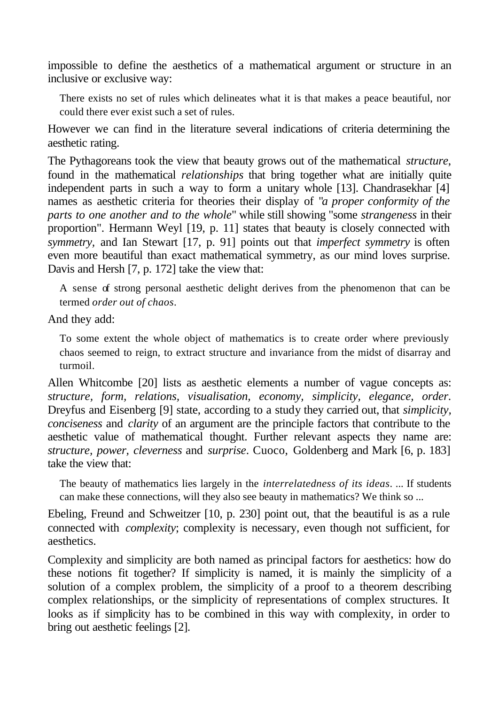impossible to define the aesthetics of a mathematical argument or structure in an inclusive or exclusive way:

There exists no set of rules which delineates what it is that makes a peace beautiful, nor could there ever exist such a set of rules.

However we can find in the literature several indications of criteria determining the aesthetic rating.

The Pythagoreans took the view that beauty grows out of the mathematical *structure*, found in the mathematical *relationships* that bring together what are initially quite independent parts in such a way to form a unitary whole [13]. Chandrasekhar [4] names as aesthetic criteria for theories their display of "*a proper conformity of the parts to one another and to the whole*" while still showing "some *strangeness* in their proportion". Hermann Weyl [19, p. 11] states that beauty is closely connected with *symmetry,* and Ian Stewart [17, p. 91] points out that *imperfect symmetry* is often even more beautiful than exact mathematical symmetry, as our mind loves surprise. Davis and Hersh [7, p. 172] take the view that:

A sense of strong personal aesthetic delight derives from the phenomenon that can be termed *order out of chaos*.

And they add:

To some extent the whole object of mathematics is to create order where previously chaos seemed to reign, to extract structure and invariance from the midst of disarray and turmoil.

Allen Whitcombe [20] lists as aesthetic elements a number of vague concepts as: *structure, form, relations, visualisation, economy, simplicity, elegance, order*. Dreyfus and Eisenberg [9] state, according to a study they carried out, that *simplicity, conciseness* and *clarity* of an argument are the principle factors that contribute to the aesthetic value of mathematical thought. Further relevant aspects they name are: *structure, power, cleverness* and *surprise*. Cuoco, Goldenberg and Mark [6, p. 183] take the view that:

The beauty of mathematics lies largely in the *interrelatedness of its ideas*. ... If students can make these connections, will they also see beauty in mathematics? We think so ...

Ebeling, Freund and Schweitzer [10, p. 230] point out, that the beautiful is as a rule connected with *complexity*; complexity is necessary, even though not sufficient, for aesthetics.

Complexity and simplicity are both named as principal factors for aesthetics: how do these notions fit together? If simplicity is named, it is mainly the simplicity of a solution of a complex problem, the simplicity of a proof to a theorem describing complex relationships, or the simplicity of representations of complex structures. It looks as if simplicity has to be combined in this way with complexity, in order to bring out aesthetic feelings [2].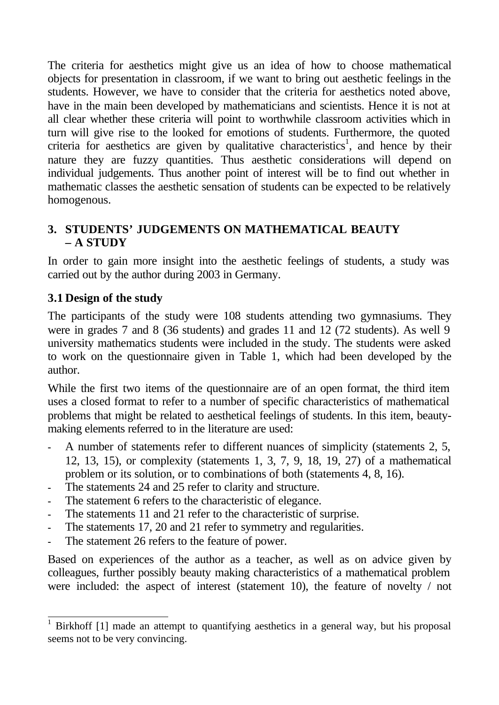The criteria for aesthetics might give us an idea of how to choose mathematical objects for presentation in classroom, if we want to bring out aesthetic feelings in the students. However, we have to consider that the criteria for aesthetics noted above, have in the main been developed by mathematicians and scientists. Hence it is not at all clear whether these criteria will point to worthwhile classroom activities which in turn will give rise to the looked for emotions of students. Furthermore, the quoted criteria for aesthetics are given by qualitative characteristics<sup>1</sup>, and hence by their nature they are fuzzy quantities. Thus aesthetic considerations will depend on individual judgements. Thus another point of interest will be to find out whether in mathematic classes the aesthetic sensation of students can be expected to be relatively homogenous.

# **3. STUDENTS' JUDGEMENTS ON MATHEMATICAL BEAUTY – A STUDY**

In order to gain more insight into the aesthetic feelings of students, a study was carried out by the author during 2003 in Germany.

# **3.1 Design of the study**

 $\overline{\phantom{a}}$ 

The participants of the study were 108 students attending two gymnasiums. They were in grades 7 and 8 (36 students) and grades 11 and 12 (72 students). As well 9 university mathematics students were included in the study. The students were asked to work on the questionnaire given in Table 1, which had been developed by the author.

While the first two items of the questionnaire are of an open format, the third item uses a closed format to refer to a number of specific characteristics of mathematical problems that might be related to aesthetical feelings of students. In this item, beautymaking elements referred to in the literature are used:

- **-** A number of statements refer to different nuances of simplicity (statements 2, 5, 12, 13, 15), or complexity (statements 1, 3, 7, 9, 18, 19, 27) of a mathematical problem or its solution, or to combinations of both (statements 4, 8, 16).
- The statements 24 and 25 refer to clarity and structure.
- The statement 6 refers to the characteristic of elegance.
- The statements 11 and 21 refer to the characteristic of surprise.
- **-** The statements 17, 20 and 21 refer to symmetry and regularities.
- **-** The statement 26 refers to the feature of power.

Based on experiences of the author as a teacher, as well as on advice given by colleagues, further possibly beauty making characteristics of a mathematical problem were included: the aspect of interest (statement 10), the feature of novelty / not

<sup>1</sup> Birkhoff [1] made an attempt to quantifying aesthetics in a general way, but his proposal seems not to be very convincing.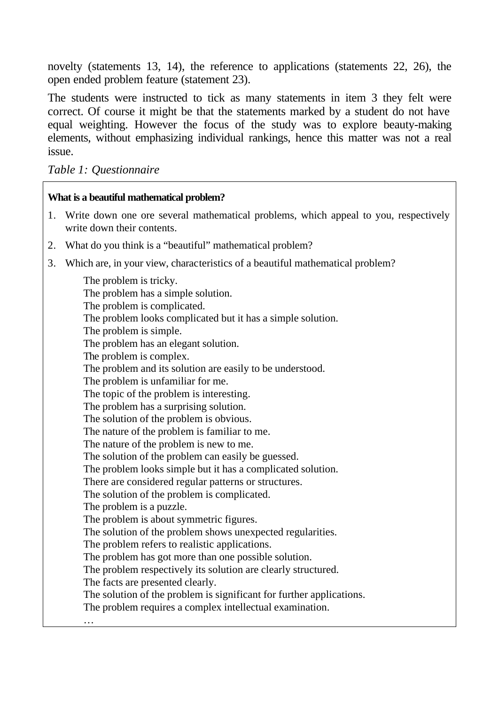novelty (statements 13, 14), the reference to applications (statements 22, 26), the open ended problem feature (statement 23).

The students were instructed to tick as many statements in item 3 they felt were correct. Of course it might be that the statements marked by a student do not have equal weighting. However the focus of the study was to explore beauty-making elements, without emphasizing individual rankings, hence this matter was not a real issue.

*Table 1: Questionnaire*

#### **What is a beautiful mathematical problem?**

- 1. Write down one ore several mathematical problems, which appeal to you, respectively write down their contents.
- 2. What do you think is a "beautiful" mathematical problem?
- 3. Which are, in your view, characteristics of a beautiful mathematical problem?

The problem is tricky. The problem has a simple solution. The problem is complicated. The problem looks complicated but it has a simple solution. The problem is simple. The problem has an elegant solution. The problem is complex. The problem and its solution are easily to be understood. The problem is unfamiliar for me. The topic of the problem is interesting. The problem has a surprising solution. The solution of the problem is obvious. The nature of the problem is familiar to me. The nature of the problem is new to me. The solution of the problem can easily be guessed. The problem looks simple but it has a complicated solution. There are considered regular patterns or structures. The solution of the problem is complicated. The problem is a puzzle. The problem is about symmetric figures. The solution of the problem shows unexpected regularities. The problem refers to realistic applications. The problem has got more than one possible solution. The problem respectively its solution are clearly structured. The facts are presented clearly. The solution of the problem is significant for further applications. The problem requires a complex intellectual examination. …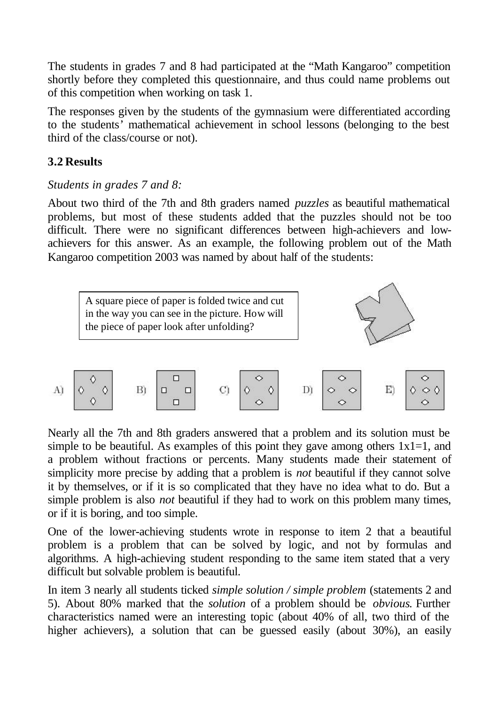The students in grades 7 and 8 had participated at the "Math Kangaroo" competition shortly before they completed this questionnaire, and thus could name problems out of this competition when working on task 1.

The responses given by the students of the gymnasium were differentiated according to the students' mathematical achievement in school lessons (belonging to the best third of the class/course or not).

# **3.2 Results**

# *Students in grades 7 and 8:*

About two third of the 7th and 8th graders named *puzzles* as beautiful mathematical problems, but most of these students added that the puzzles should not be too difficult. There were no significant differences between high-achievers and lowachievers for this answer. As an example, the following problem out of the Math Kangaroo competition 2003 was named by about half of the students:





Nearly all the 7th and 8th graders answered that a problem and its solution must be simple to be beautiful. As examples of this point they gave among others  $1x1=1$ , and a problem without fractions or percents. Many students made their statement of simplicity more precise by adding that a problem is *not* beautiful if they cannot solve it by themselves, or if it is so complicated that they have no idea what to do. But a simple problem is also *not* beautiful if they had to work on this problem many times, or if it is boring, and too simple.

One of the lower-achieving students wrote in response to item 2 that a beautiful problem is a problem that can be solved by logic, and not by formulas and algorithms. A high-achieving student responding to the same item stated that a very difficult but solvable problem is beautiful.

In item 3 nearly all students ticked *simple solution / simple problem* (statements 2 and 5). About 80% marked that the *solution* of a problem should be *obvious*. Further characteristics named were an interesting topic (about 40% of all, two third of the higher achievers), a solution that can be guessed easily (about 30%), an easily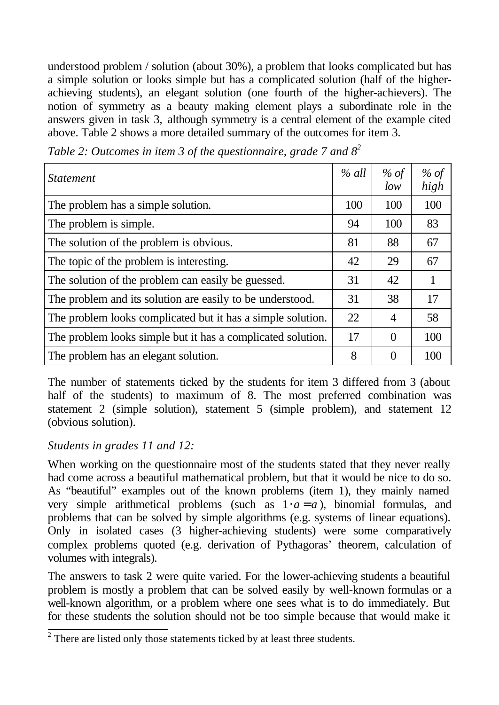understood problem / solution (about 30%), a problem that looks complicated but has a simple solution or looks simple but has a complicated solution (half of the higherachieving students), an elegant solution (one fourth of the higher-achievers). The notion of symmetry as a beauty making element plays a subordinate role in the answers given in task 3, although symmetry is a central element of the example cited above. Table 2 shows a more detailed summary of the outcomes for item 3.

| <i>Statement</i>                                            | $%$ all | % of<br>low    | % of<br>high |
|-------------------------------------------------------------|---------|----------------|--------------|
| The problem has a simple solution.                          | 100     | 100            | 100          |
| The problem is simple.                                      | 94      | 100            | 83           |
| The solution of the problem is obvious.                     | 81      | 88             | 67           |
| The topic of the problem is interesting.                    | 42      | 29             | 67           |
| The solution of the problem can easily be guessed.          | 31      | 42             | 1            |
| The problem and its solution are easily to be understood.   | 31      | 38             | 17           |
| The problem looks complicated but it has a simple solution. | 22      | $\overline{4}$ | 58           |
| The problem looks simple but it has a complicated solution. | 17      | $\Omega$       | 100          |
| The problem has an elegant solution.                        | 8       | $\theta$       | 100          |

*Table 2: Outcomes in item 3 of the questionnaire, grade 7 and 8<sup>2</sup>*

The number of statements ticked by the students for item 3 differed from 3 (about half of the students) to maximum of 8. The most preferred combination was statement 2 (simple solution), statement 5 (simple problem), and statement 12 (obvious solution).

# *Students in grades 11 and 12:*

When working on the questionnaire most of the students stated that they never really had come across a beautiful mathematical problem, but that it would be nice to do so. As "beautiful" examples out of the known problems (item 1), they mainly named very simple arithmetical problems (such as  $1 \cdot a = a$ ), binomial formulas, and problems that can be solved by simple algorithms (e.g. systems of linear equations). Only in isolated cases (3 higher-achieving students) were some comparatively complex problems quoted (e.g. derivation of Pythagoras' theorem, calculation of volumes with integrals).

The answers to task 2 were quite varied. For the lower-achieving students a beautiful problem is mostly a problem that can be solved easily by well-known formulas or a well-known algorithm, or a problem where one sees what is to do immediately. But for these students the solution should not be too simple because that would make it

<sup>&</sup>lt;sup>2</sup> There are listed only those statements ticked by at least three students.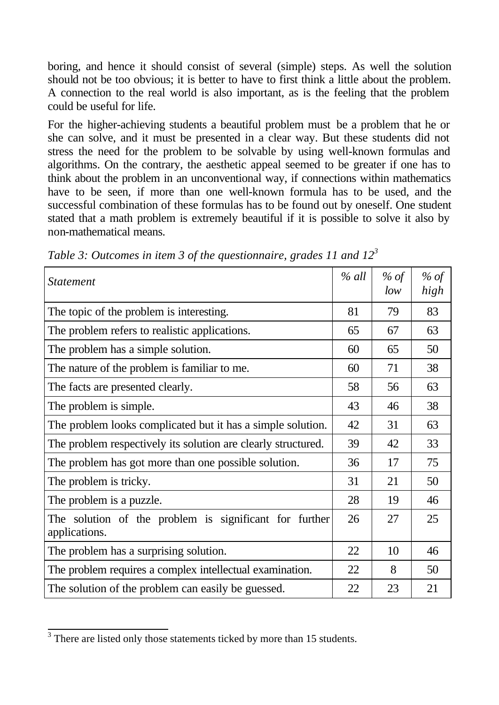boring, and hence it should consist of several (simple) steps. As well the solution should not be too obvious; it is better to have to first think a little about the problem. A connection to the real world is also important, as is the feeling that the problem could be useful for life.

For the higher-achieving students a beautiful problem must be a problem that he or she can solve, and it must be presented in a clear way. But these students did not stress the need for the problem to be solvable by using well-known formulas and algorithms. On the contrary, the aesthetic appeal seemed to be greater if one has to think about the problem in an unconventional way, if connections within mathematics have to be seen, if more than one well-known formula has to be used, and the successful combination of these formulas has to be found out by oneself. One student stated that a math problem is extremely beautiful if it is possible to solve it also by non-mathematical means.

| <i><b>Statement</b></i>                                                 | $%$ all | % of<br>low | % of<br>high |
|-------------------------------------------------------------------------|---------|-------------|--------------|
| The topic of the problem is interesting.                                | 81      | 79          | 83           |
| The problem refers to realistic applications.                           | 65      | 67          | 63           |
| The problem has a simple solution.                                      | 60      | 65          | 50           |
| The nature of the problem is familiar to me.                            | 60      | 71          | 38           |
| The facts are presented clearly.                                        | 58      | 56          | 63           |
| The problem is simple.                                                  | 43      | 46          | 38           |
| The problem looks complicated but it has a simple solution.             | 42      | 31          | 63           |
| The problem respectively its solution are clearly structured.           | 39      | 42          | 33           |
| The problem has got more than one possible solution.                    | 36      | 17          | 75           |
| The problem is tricky.                                                  | 31      | 21          | 50           |
| The problem is a puzzle.                                                | 28      | 19          | 46           |
| The solution of the problem is significant for further<br>applications. | 26      | 27          | 25           |
| The problem has a surprising solution.                                  | 22      | 10          | 46           |
| The problem requires a complex intellectual examination.                | 22      | 8           | 50           |
| The solution of the problem can easily be guessed.                      | 22      | 23          | 21           |

*Table 3: Outcomes in item 3 of the questionnaire, grades 11 and 12<sup>3</sup>*

<sup>&</sup>lt;sup>3</sup> There are listed only those statements ticked by more than 15 students.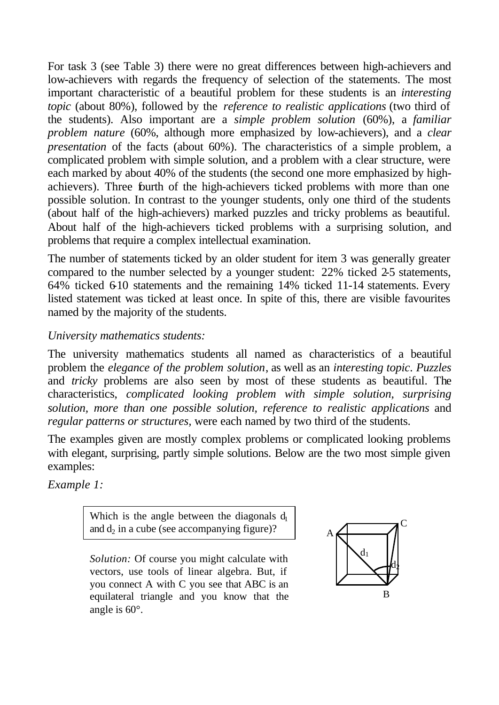For task 3 (see Table 3) there were no great differences between high-achievers and low-achievers with regards the frequency of selection of the statements. The most important characteristic of a beautiful problem for these students is an *interesting topic* (about 80%), followed by the *reference to realistic applications* (two third of the students). Also important are a *simple problem solution* (60%), a *familiar problem nature* (60%, although more emphasized by low-achievers), and a *clear presentation* of the facts (about 60%). The characteristics of a simple problem, a complicated problem with simple solution, and a problem with a clear structure, were each marked by about 40% of the students (the second one more emphasized by highachievers). Three fourth of the high-achievers ticked problems with more than one possible solution. In contrast to the younger students, only one third of the students (about half of the high-achievers) marked puzzles and tricky problems as beautiful. About half of the high-achievers ticked problems with a surprising solution, and problems that require a complex intellectual examination.

The number of statements ticked by an older student for item 3 was generally greater compared to the number selected by a younger student: 22% ticked 2-5 statements, 64% ticked 6-10 statements and the remaining 14% ticked 11-14 statements. Every listed statement was ticked at least once. In spite of this, there are visible favourites named by the majority of the students.

# *University mathematics students:*

The university mathematics students all named as characteristics of a beautiful problem the *elegance of the problem solution*, as well as an *interesting topic*. *Puzzles* and *tricky* problems are also seen by most of these students as beautiful. The characteristics, *complicated looking problem with simple solution, surprising solution, more than one possible solution, reference to realistic applications* and *regular patterns or structures,* were each named by two third of the students.

The examples given are mostly complex problems or complicated looking problems with elegant, surprising, partly simple solutions. Below are the two most simple given examples:

*Example 1:*

Which is the angle between the diagonals  $d_1$ and  $d_2$  in a cube (see accompanying figure)?

*Solution:* Of course you might calculate with vectors, use tools of linear algebra. But, if you connect A with C you see that ABC is an equilateral triangle and you know that the angle is 60°.

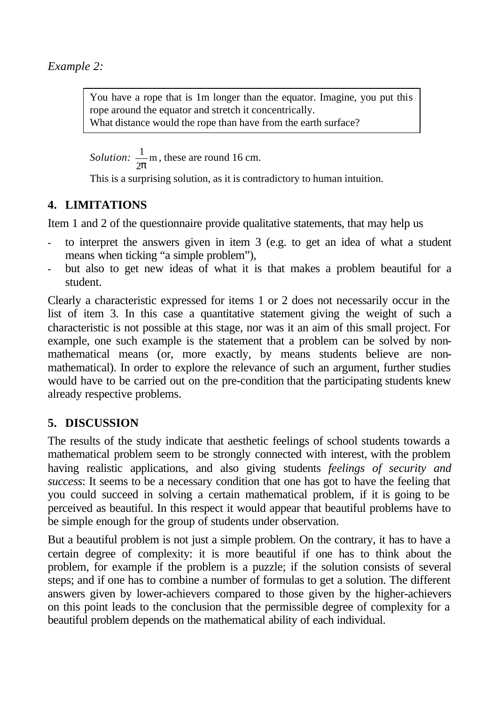*Example 2:*

You have a rope that is 1m longer than the equator. Imagine, you put this rope around the equator and stretch it concentrically. What distance would the rope than have from the earth surface?

*Solution:*  $\frac{1}{2}$ m 2*p* , these are round 16 cm.

This is a surprising solution, as it is contradictory to human intuition.

# **4. LIMITATIONS**

Item 1 and 2 of the questionnaire provide qualitative statements, that may help us

- **-** to interpret the answers given in item 3 (e.g. to get an idea of what a student means when ticking "a simple problem"),
- **-** but also to get new ideas of what it is that makes a problem beautiful for a student.

Clearly a characteristic expressed for items 1 or 2 does not necessarily occur in the list of item 3. In this case a quantitative statement giving the weight of such a characteristic is not possible at this stage, nor was it an aim of this small project. For example, one such example is the statement that a problem can be solved by nonmathematical means (or, more exactly, by means students believe are nonmathematical). In order to explore the relevance of such an argument, further studies would have to be carried out on the pre-condition that the participating students knew already respective problems.

# **5. DISCUSSION**

The results of the study indicate that aesthetic feelings of school students towards a mathematical problem seem to be strongly connected with interest, with the problem having realistic applications, and also giving students *feelings of security and success*: It seems to be a necessary condition that one has got to have the feeling that you could succeed in solving a certain mathematical problem, if it is going to be perceived as beautiful. In this respect it would appear that beautiful problems have to be simple enough for the group of students under observation.

But a beautiful problem is not just a simple problem. On the contrary, it has to have a certain degree of complexity: it is more beautiful if one has to think about the problem, for example if the problem is a puzzle; if the solution consists of several steps; and if one has to combine a number of formulas to get a solution. The different answers given by lower-achievers compared to those given by the higher-achievers on this point leads to the conclusion that the permissible degree of complexity for a beautiful problem depends on the mathematical ability of each individual.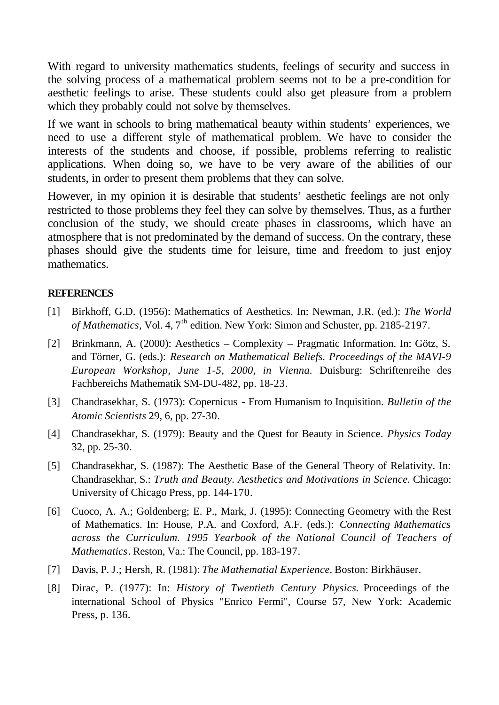With regard to university mathematics students, feelings of security and success in the solving process of a mathematical problem seems not to be a pre-condition for aesthetic feelings to arise. These students could also get pleasure from a problem which they probably could not solve by themselves.

If we want in schools to bring mathematical beauty within students' experiences, we need to use a different style of mathematical problem. We have to consider the interests of the students and choose, if possible, problems referring to realistic applications. When doing so, we have to be very aware of the abilities of our students, in order to present them problems that they can solve.

However, in my opinion it is desirable that students' aesthetic feelings are not only restricted to those problems they feel they can solve by themselves. Thus, as a further conclusion of the study, we should create phases in classrooms, which have an atmosphere that is not predominated by the demand of success. On the contrary, these phases should give the students time for leisure, time and freedom to just enjoy mathematics.

#### **REFERENCES**

- [1] Birkhoff, G.D. (1956): Mathematics of Aesthetics. In: Newman, J.R. (ed.): *The World of Mathematics, Vol. 4, 7<sup>th</sup> edition. New York: Simon and Schuster, pp. 2185-2197.*
- [2] Brinkmann, A. (2000): Aesthetics Complexity Pragmatic Information. In: Götz, S. and Törner, G. (eds.): *Research on Mathematical Beliefs. Proceedings of the MAVI-9 European Workshop, June 1-5, 2000, in Vienna.* Duisburg: Schriftenreihe des Fachbereichs Mathematik SM-DU-482, pp. 18-23.
- [3] Chandrasekhar, S. (1973): Copernicus From Humanism to Inquisition. *Bulletin of the Atomic Scientists* 29, 6, pp. 27-30.
- [4] Chandrasekhar, S. (1979): Beauty and the Quest for Beauty in Science. *Physics Today* 32, pp. 25-30.
- [5] Chandrasekhar, S. (1987): The Aesthetic Base of the General Theory of Relativity. In: Chandrasekhar, S.: *Truth and Beauty. Aesthetics and Motivations in Science.* Chicago: University of Chicago Press, pp. 144-170.
- [6] Cuoco, A. A.; Goldenberg; E. P., Mark, J. (1995): Connecting Geometry with the Rest of Mathematics. In: House, P.A. and Coxford, A.F. (eds.): *Connecting Mathematics across the Curriculum. 1995 Yearbook of the National Council of Teachers of Mathematics*. Reston, Va.: The Council, pp. 183-197.
- [7] Davis, P. J.; Hersh, R. (1981): *The Mathematial Experience.* Boston: Birkhäuser.
- [8] Dirac, P. (1977): In: *History of Twentieth Century Physics.* Proceedings of the international School of Physics "Enrico Fermi", Course 57, New York: Academic Press, p. 136.